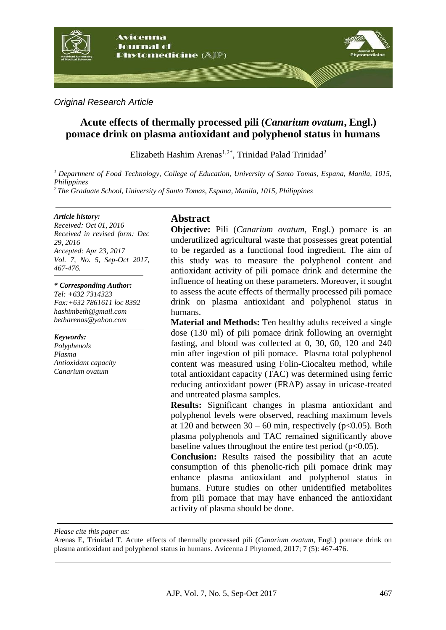

*Original Research Article*

# **Acute effects of thermally processed pili (***Canarium ovatum***, Engl.) pomace drink on plasma antioxidant and polyphenol status in humans**

Elizabeth Hashim Arenas<sup>1,2\*</sup>, Trinidad Palad Trinidad<sup>2</sup>

*<sup>1</sup> Department of Food Technology, College of Education, University of Santo Tomas, Espana, Manila, 1015, Philippines*

*<sup>2</sup> The Graduate School, University of Santo Tomas, Espana, Manila, 1015, Philippines*

#### *Article history:*

*Received: Oct 01, 2016 Received in revised form: Dec 29, 2016 Accepted: Apr 23, 2017 Vol. 7, No. 5, Sep-Oct 2017, 467-476.*

#### *\* Corresponding Author:*

*Tel: +632 7314323 Fax:+632 7861611 loc 8392 [hashimbeth@gmail.com](mailto:hashimbeth@gmail.com) betharenas@yahoo.com*

*Keywords: Polyphenols Plasma Antioxidant capacity Canarium ovatum*

### **Abstract**

**Objective:** Pili (*Canarium ovatum,* Engl*.*) pomace is an underutilized agricultural waste that possesses great potential to be regarded as a functional food ingredient. The aim of this study was to measure the polyphenol content and antioxidant activity of pili pomace drink and determine the influence of heating on these parameters. Moreover, it sought to assess the acute effects of thermally processed pili pomace drink on plasma antioxidant and polyphenol status in humans.

**Material and Methods:** Ten healthy adults received a single dose (130 ml) of pili pomace drink following an overnight fasting, and blood was collected at 0, 30, 60, 120 and 240 min after ingestion of pili pomace. Plasma total polyphenol content was measured using Folin-Ciocalteu method, while total antioxidant capacity (TAC) was determined using ferric reducing antioxidant power (FRAP) assay in uricase-treated and untreated plasma samples.

**Results:** Significant changes in plasma antioxidant and polyphenol levels were observed, reaching maximum levels at 120 and between  $30 - 60$  min, respectively ( $p < 0.05$ ). Both plasma polyphenols and TAC remained significantly above baseline values throughout the entire test period ( $p<0.05$ ).

**Conclusion:** Results raised the possibility that an acute consumption of this phenolic-rich pili pomace drink may enhance plasma antioxidant and polyphenol status in humans. Future studies on other unidentified metabolites from pili pomace that may have enhanced the antioxidant activity of plasma should be done.

*Please cite this paper as:* 

Arenas E, Trinidad T. Acute effects of thermally processed pili (*Canarium ovatum*, Engl.) pomace drink on plasma antioxidant and polyphenol status in humans. Avicenna J Phytomed, 2017; 7 (5): 467-476.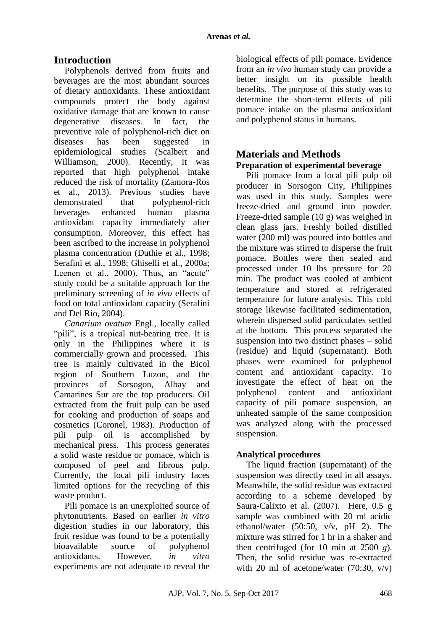# **Introduction**

Polyphenols derived from fruits and beverages are the most abundant sources of dietary antioxidants. These antioxidant compounds protect the body against oxidative damage that are known to cause degenerative diseases. In fact, the preventive role of polyphenol-rich diet on diseases has been suggested in epidemiological studies (Scalbert and Williamson, 2000). Recently, it was reported that high polyphenol intake reduced the risk of mortality (Zamora-Ros et al., 2013). Previous studies have demonstrated that polyphenol-rich beverages enhanced human plasma antioxidant capacity immediately after consumption. Moreover, this effect has been ascribed to the increase in polyphenol plasma concentration (Duthie et al., 1998; Serafini et al., 1998; Ghiselli et al., 2000a; Leenen et al., 2000). Thus, an "acute" study could be a suitable approach for the preliminary screening of *in vivo* effects of food on total antioxidant capacity (Serafini and Del Rio, 2004).

*Canarium ovatum* Engl., locally called "pili", is a tropical nut-bearing tree. It is only in the Philippines where it is commercially grown and processed. This tree is mainly cultivated in the Bicol region of Southern Luzon, and the provinces of Sorsogon, Albay and Camarines Sur are the top producers. Oil extracted from the fruit pulp can be used for cooking and production of soaps and cosmetics (Coronel, 1983). Production of pili pulp oil is accomplished by mechanical press. This process generates a solid waste residue or pomace, which is composed of peel and fibrous pulp. Currently, the local pili industry faces limited options for the recycling of this waste product.

Pili pomace is an unexploited source of phytonutrients. Based on earlier *in vitro*  digestion studies in our laboratory, this fruit residue was found to be a potentially bioavailable source of polyphenol antioxidants. However, *in vitro* experiments are not adequate to reveal the

biological effects of pili pomace. Evidence from an *in vivo* human study can provide a better insight on its possible health benefits. The purpose of this study was to determine the short-term effects of pili pomace intake on the plasma antioxidant and polyphenol status in humans.

### **Materials and Methods Preparation of experimental beverage**

Pili pomace from a local pili pulp oil producer in Sorsogon City, Philippines was used in this study. Samples were freeze-dried and ground into powder. Freeze-dried sample (10 g) was weighed in clean glass jars. Freshly boiled distilled water (200 ml) was poured into bottles and the mixture was stirred to disperse the fruit pomace. Bottles were then sealed and processed under 10 lbs pressure for 20 min. The product was cooled at ambient temperature and stored at refrigerated temperature for future analysis. This cold storage likewise facilitated sedimentation, wherein dispersed solid particulates settled at the bottom. This process separated the suspension into two distinct phases – solid (residue) and liquid (supernatant). Both phases were examined for polyphenol content and antioxidant capacity. To investigate the effect of heat on the polyphenol content and antioxidant capacity of pili pomace suspension, an unheated sample of the same composition was analyzed along with the processed suspension.

## **Analytical procedures**

The liquid fraction (supernatant) of the suspension was directly used in all assays. Meanwhile, the solid residue was extracted according to a scheme developed by Saura-Calixto et al. (2007). Here, 0.5 g sample was combined with 20 ml acidic ethanol/water (50:50, v/v, pH 2). The mixture was stirred for 1 hr in a shaker and then centrifuged (for 10 min at 2500 *g*). Then, the solid residue was re-extracted with 20 ml of acetone/water  $(70:30, v/v)$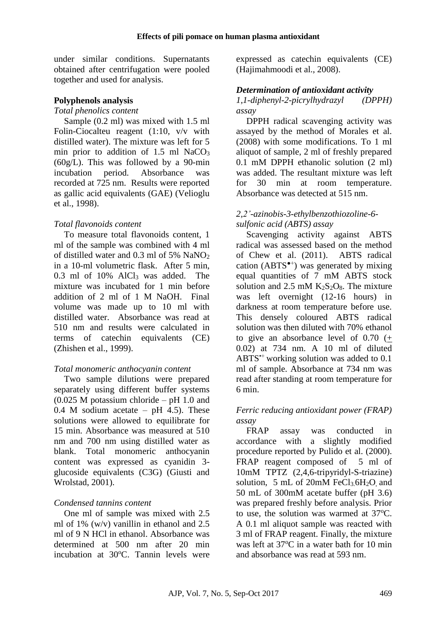under similar conditions. Supernatants obtained after centrifugation were pooled together and used for analysis.

#### **Polyphenols analysis**

### *Total phenolics content*

Sample (0.2 ml) was mixed with 1.5 ml Folin-Ciocalteu reagent (1:10, v/v with distilled water). The mixture was left for 5 min prior to addition of  $1.5$  ml NaCO<sub>3</sub> (60g/L). This was followed by a 90-min incubation period. Absorbance was recorded at 725 nm. Results were reported as gallic acid equivalents (GAE) (Velioglu et al., 1998).

#### *Total flavonoids content*

To measure total flavonoids content, 1 ml of the sample was combined with 4 ml of distilled water and 0.3 ml of 5% NaNO<sup>2</sup> in a 10-ml volumetric flask. After 5 min, 0.3 ml of 10% AlCl<sup>3</sup> was added. The mixture was incubated for 1 min before addition of 2 ml of 1 M NaOH. Final volume was made up to 10 ml with distilled water. Absorbance was read at 510 nm and results were calculated in terms of catechin equivalents (CE) (Zhishen et al., 1999).

#### *Total monomeric anthocyanin content*

Two sample dilutions were prepared separately using different buffer systems (0.025 M potassium chloride – pH 1.0 and 0.4 M sodium acetate –  $pH$  4.5). These solutions were allowed to equilibrate for 15 min. Absorbance was measured at 510 nm and 700 nm using distilled water as blank. Total monomeric anthocyanin content was expressed as cyanidin 3 glucoside equivalents (C3G) (Giusti and Wrolstad, 2001).

### *Condensed tannins content*

One ml of sample was mixed with 2.5 ml of 1% (w/v) vanillin in ethanol and 2.5 ml of 9 N HCl in ethanol. Absorbance was determined at 500 nm after 20 min incubation at 30°C. Tannin levels were expressed as catechin equivalents (CE) (Hajimahmoodi et al., 2008).

#### *Determination of antioxidant activity*

#### *1,1-diphenyl-2-picrylhydrazyl (DPPH) assay*

DPPH radical scavenging activity was assayed by the method of Morales et al. (2008) with some modifications. To 1 ml aliquot of sample, 2 ml of freshly prepared 0.1 mM DPPH ethanolic solution (2 ml) was added. The resultant mixture was left for 30 min at room temperature. Absorbance was detected at 515 nm.

#### *2,2'-azinobis-3-ethylbenzothiozoline-6 sulfonic acid (ABTS) assay*

Scavenging activity against ABTS radical was assessed based on the method of Chew et al. (2011). ABTS radical cation (ABTS<sup> $\bullet$ +</sup>) was generated by mixing equal quantities of 7 mM ABTS stock solution and  $2.5$  mM  $K_2S_2O_8$ . The mixture was left overnight (12-16 hours) in darkness at room temperature before use. This densely coloured ABTS radical solution was then diluted with 70% ethanol to give an absorbance level of 0.70 (+ 0.02) at 734 nm. A 10 ml of diluted  $ABTS^+$  working solution was added to 0.1 ml of sample. Absorbance at 734 nm was read after standing at room temperature for 6 min.

#### *Ferric reducing antioxidant power (FRAP) assay*

FRAP assay was conducted in accordance with a slightly modified procedure reported by Pulido et al. (2000). FRAP reagent composed of 5 ml of 10mM TPTZ (2,4,6-tripyridyl-S-triazine) solution, 5 mL of  $20mM$  FeCl<sub>3</sub>.6H<sub>2</sub>O and 50 mL of 300mM acetate buffer (pH 3.6) was prepared freshly before analysis. Prior to use, the solution was warmed at  $37^{\circ}$ C. A 0.1 ml aliquot sample was reacted with 3 ml of FRAP reagent. Finally, the mixture was left at  $37^{\circ}$ C in a water bath for 10 min and absorbance was read at 593 nm.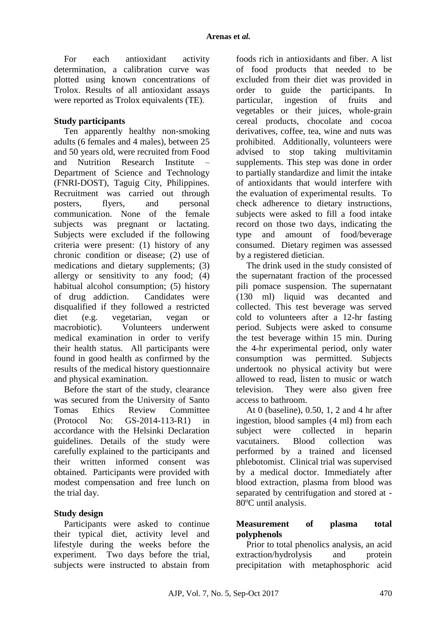For each antioxidant activity determination, a calibration curve was plotted using known concentrations of Trolox. Results of all antioxidant assays were reported as Trolox equivalents (TE).

#### **Study participants**

Ten apparently healthy non-smoking adults (6 females and 4 males), between 25 and 50 years old, were recruited from Food and Nutrition Research Institute – Department of Science and Technology (FNRI-DOST), Taguig City, Philippines. Recruitment was carried out through posters, flyers, and personal communication. None of the female subjects was pregnant or lactating. Subjects were excluded if the following criteria were present: (1) history of any chronic condition or disease; (2) use of medications and dietary supplements; (3) allergy or sensitivity to any food; (4) habitual alcohol consumption; (5) history of drug addiction. Candidates were disqualified if they followed a restricted diet (e.g. vegetarian, vegan or macrobiotic). Volunteers underwent medical examination in order to verify their health status. All participants were found in good health as confirmed by the results of the medical history questionnaire and physical examination.

Before the start of the study, clearance was secured from the University of Santo Tomas Ethics Review Committee (Protocol No: GS-2014-113-R1) in accordance with the Helsinki Declaration guidelines. Details of the study were carefully explained to the participants and their written informed consent was obtained. Participants were provided with modest compensation and free lunch on the trial day.

### **Study design**

Participants were asked to continue their typical diet, activity level and lifestyle during the weeks before the experiment. Two days before the trial, subjects were instructed to abstain from foods rich in antioxidants and fiber. A list of food products that needed to be excluded from their diet was provided in order to guide the participants. In particular, ingestion of fruits and vegetables or their juices, whole-grain cereal products, chocolate and cocoa derivatives, coffee, tea, wine and nuts was prohibited. Additionally, volunteers were advised to stop taking multivitamin supplements. This step was done in order to partially standardize and limit the intake of antioxidants that would interfere with the evaluation of experimental results. To check adherence to dietary instructions, subjects were asked to fill a food intake record on those two days, indicating the type and amount of food/beverage consumed. Dietary regimen was assessed by a registered dietician.

The drink used in the study consisted of the supernatant fraction of the processed pili pomace suspension. The supernatant (130 ml) liquid was decanted and collected. This test beverage was served cold to volunteers after a 12-hr fasting period. Subjects were asked to consume the test beverage within 15 min. During the 4-hr experimental period, only water consumption was permitted. Subjects undertook no physical activity but were allowed to read, listen to music or watch television. They were also given free access to bathroom.

At 0 (baseline), 0.50, 1, 2 and 4 hr after ingestion, blood samples (4 ml) from each subject were collected in heparin vacutainers. Blood collection was performed by a trained and licensed phlebotomist. Clinical trial was supervised by a medical doctor. Immediately after blood extraction, plasma from blood was separated by centrifugation and stored at - 80°C until analysis.

### **Measurement of plasma total polyphenols**

Prior to total phenolics analysis, an acid extraction/hydrolysis and protein precipitation with metaphosphoric acid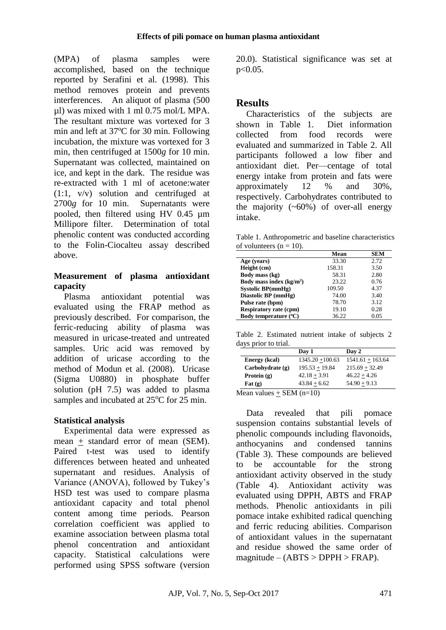(MPA) of plasma samples were accomplished, based on the technique reported by Serafini et al. (1998). This method removes protein and prevents interferences. An aliquot of plasma (500 µl) was mixed with 1 ml 0.75 mol/L MPA. The resultant mixture was vortexed for 3 min and left at  $37^{\circ}$ C for 30 min. Following incubation, the mixture was vortexed for 3 min, then centrifuged at 1500*g* for 10 min. Supernatant was collected, maintained on ice, and kept in the dark. The residue was re-extracted with 1 ml of acetone:water (1:1, v/v) solution and centrifuged at 2700*g* for 10 min. Supernatants were pooled, then filtered using HV 0.45 µm Millipore filter. Determination of total phenolic content was conducted according to the Folin-Ciocalteu assay described above.

### **Measurement of plasma antioxidant capacity**

Plasma antioxidant potential was evaluated using the FRAP method as previously described. For comparison, the ferric-reducing ability of plasma was measured in uricase-treated and untreated samples. Uric acid was removed by addition of uricase according to the method of Modun et al. (2008). Uricase (Sigma U0880) in phosphate buffer solution (pH 7.5) was added to plasma samples and incubated at 25<sup>o</sup>C for 25 min.

### **Statistical analysis**

Experimental data were expressed as mean + standard error of mean (SEM). Paired t-test was used to identify differences between heated and unheated supernatant and residues. Analysis of Variance (ANOVA), followed by Tukey's HSD test was used to compare plasma antioxidant capacity and total phenol content among time periods. Pearson correlation coefficient was applied to examine association between plasma total phenol concentration and antioxidant capacity. Statistical calculations were performed using SPSS software (version

20.0). Statistical significance was set at p<0.05.

# **Results**

Characteristics of the subjects are shown in Table 1. Diet information collected from food records were evaluated and summarized in Table 2. All participants followed a low fiber and antioxidant diet. Per—centage of total energy intake from protein and fats were approximately 12 % and 30%, respectively. Carbohydrates contributed to the majority  $(-60\%)$  of over-all energy intake.

Table 1. Anthropometric and baseline characteristics of volunteers  $(n = 10)$ .

|                               | Mean   | <b>SEM</b> |
|-------------------------------|--------|------------|
| Age (years)                   | 33.30  | 2.72.      |
| Height (cm)                   | 158.31 | 3.50       |
| Body mass (kg)                | 58.31  | 2.80       |
| Body mass index $(kg/m2)$     | 23.22  | 0.76       |
| Systolic BP(mmHg)             | 109.50 | 4.37       |
| Diastolic BP (mmHg)           | 74.00  | 3.40       |
| Pulse rate (bpm)              | 78.70  | 3.12       |
| <b>Respiratory rate (cpm)</b> | 19.10  | 0.28       |
| Body temperature (°C)         | 36.22  | 0.05       |

Table 2. Estimated nutrient intake of subjects 2 days prior to trial.

|                          | Day 1              | Day 2              |
|--------------------------|--------------------|--------------------|
| Energy (kcal)            | $1345.20 + 100.63$ | $1541.61 + 163.64$ |
| Carbohvdrate(g)          | $195.53 + 19.84$   | $215.69 + 32.49$   |
| Protein $(g)$            | $42.18 + 3.91$     | $46.22 + 4.26$     |
| $\text{Fat}(\mathbf{g})$ | $43.84 + 6.62$     | $54.90 + 9.13$     |
|                          | $\sim$             |                    |

Mean values  $+$  SEM (n=10)

Data revealed that pili pomace suspension contains substantial levels of phenolic compounds including flavonoids, anthocyanins and condensed tannins (Table 3). These compounds are believed to be accountable for the strong antioxidant activity observed in the study (Table 4). Antioxidant activity was evaluated using DPPH, ABTS and FRAP methods. Phenolic antioxidants in pili pomace intake exhibited radical quenching and ferric reducing abilities. Comparison of antioxidant values in the supernatant and residue showed the same order of  $magnitude - (ABTS > DPPH > FRAP).$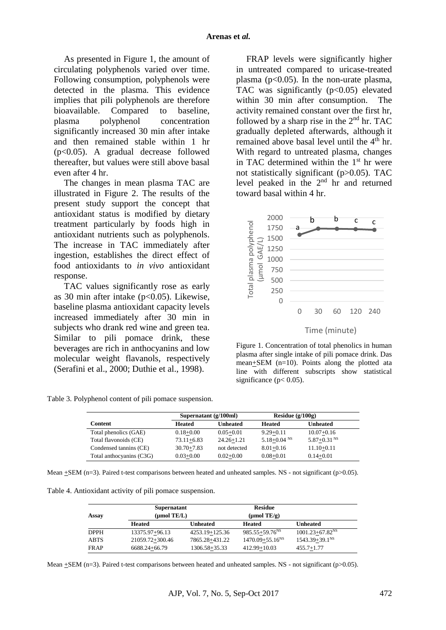As presented in Figure 1, the amount of circulating polyphenols varied over time. Following consumption, polyphenols were detected in the plasma. This evidence implies that pili polyphenols are therefore bioavailable. Compared to baseline, plasma polyphenol concentration significantly increased 30 min after intake and then remained stable within 1 hr (p<0.05). A gradual decrease followed thereafter, but values were still above basal even after 4 hr.

The changes in mean plasma TAC are illustrated in Figure 2. The results of the present study support the concept that antioxidant status is modified by dietary treatment particularly by foods high in antioxidant nutrients such as polyphenols. The increase in TAC immediately after ingestion, establishes the direct effect of food antioxidants to *in vivo* antioxidant response.

TAC values significantly rose as early as 30 min after intake  $(p<0.05)$ . Likewise, baseline plasma antioxidant capacity levels increased immediately after 30 min in subjects who drank red wine and green tea. Similar to pili pomace drink, these beverages are rich in anthocyanins and low molecular weight flavanols, respectively (Serafini et al., 2000; Duthie et al., 1998).

Table 3. Polyphenol content of pili pomace suspension.

FRAP levels were significantly higher in untreated compared to uricase-treated plasma ( $p<0.05$ ). In the non-urate plasma, TAC was significantly  $(p<0.05)$  elevated within 30 min after consumption. The activity remained constant over the first hr, followed by a sharp rise in the  $2<sup>nd</sup>$  hr. TAC gradually depleted afterwards, although it remained above basal level until the 4<sup>th</sup> hr. With regard to untreated plasma, changes in TAC determined within the  $1<sup>st</sup>$  hr were not statistically significant (p>0.05). TAC level peaked in the 2nd hr and returned toward basal within 4 hr.



Figure 1. Concentration of total phenolics in human plasma after single intake of pili pomace drink. Das mean+SEM (n=10). Points along the plotted ata line with different subscripts show statistical significance ( $p < 0.05$ ).

|                          |                | Supernatant $(g/100ml)$ |                             | Residue $(g/100g)$          |
|--------------------------|----------------|-------------------------|-----------------------------|-----------------------------|
| <b>Content</b>           | Heated         | Unheated                | Heated                      | <b>Unheated</b>             |
| Total phenolics (GAE)    | $0.18 + 0.00$  | $0.05 + 0.01$           | $9.29 + 0.11$               | $10.07 + 0.16$              |
| Total flavonoids (CE)    | $73.11 + 6.83$ | $24.26 + 1.21$          | $5.18 + 0.04$ <sup>NS</sup> | $5.87 + 0.31$ <sup>NS</sup> |
| Condensed tannins (CE)   | $30.70 + 7.83$ | not detected            | $8.01 + 0.16$               | $11.10 + 0.11$              |
| Total anthocyanins (C3G) | $0.03 + 0.00$  | $0.02 + 0.00$           | $0.08 + 0.01$               | $0.14 + 0.01$               |

Mean  $+SEM$  (n=3). Paired t-test comparisons between heated and unheated samples. NS - not significant (p>0.05).

Table 4. Antioxidant activity of pili pomace suspension.

| Assay       | <b>Supernatant</b><br>$(\mu$ mol TE/L) |                 | <b>Residue</b><br>$(\mu \text{mol} \text{TE/g})$ |                                |
|-------------|----------------------------------------|-----------------|--------------------------------------------------|--------------------------------|
|             | <b>Heated</b>                          | <b>Unheated</b> | <b>Heated</b>                                    | <b>Unheated</b>                |
| <b>DPPH</b> | 13375.97+96.13                         | 4253.19+125.36  | $985.55 + 59.76^{NS}$                            | $1001.23 + 67.82NS$            |
| <b>ABTS</b> | 21059.72+300.46                        | 7865.28+431.22  | $1470.09 + 55.16^{NS}$                           | $1543.39 + 39.1$ <sup>NS</sup> |
| <b>FRAP</b> | 6688.24+66.79                          | 1306.58+35.33   | 412.99+10.03                                     | $455.7 + 1.77$                 |

Mean  $\pm$ SEM (n=3). Paired t-test comparisons between heated and unheated samples. NS - not significant (p>0.05).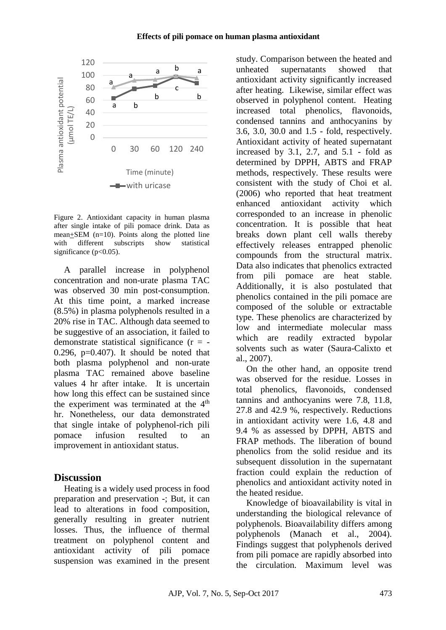

Figure 2. Antioxidant capacity in human plasma after single intake of pili pomace drink. Data as mean+SEM  $(n=10)$ . Points along the plotted line with different subscripts show statistical significance  $(p<0.05)$ .

A parallel increase in polyphenol concentration and non-urate plasma TAC was observed 30 min post-consumption. At this time point, a marked increase (8.5%) in plasma polyphenols resulted in a 20% rise in TAC. Although data seemed to be suggestive of an association, it failed to demonstrate statistical significance  $(r = -$ 0.296,  $p=0.407$ . It should be noted that both plasma polyphenol and non-urate plasma TAC remained above baseline values 4 hr after intake. It is uncertain how long this effect can be sustained since the experiment was terminated at the  $4<sup>th</sup>$ hr. Nonetheless, our data demonstrated that single intake of polyphenol-rich pili pomace infusion resulted to an improvement in antioxidant status.

#### **Discussion**

Heating is a widely used process in food preparation and preservation -; But, it can lead to alterations in food composition, generally resulting in greater nutrient losses. Thus, the influence of thermal treatment on polyphenol content and antioxidant activity of pili pomace suspension was examined in the present

study. Comparison between the heated and unheated supernatants showed that antioxidant activity significantly increased after heating. Likewise, similar effect was observed in polyphenol content. Heating increased total phenolics, flavonoids, condensed tannins and anthocyanins by 3.6, 3.0, 30.0 and 1.5 - fold, respectively. Antioxidant activity of heated supernatant increased by 3.1, 2.7, and 5.1 - fold as determined by DPPH, ABTS and FRAP methods, respectively. These results were consistent with the study of Choi et al. (2006) who reported that heat treatment enhanced antioxidant activity which corresponded to an increase in phenolic concentration. It is possible that heat breaks down plant cell walls thereby effectively releases entrapped phenolic compounds from the structural matrix. Data also indicates that phenolics extracted from pili pomace are heat stable. Additionally, it is also postulated that phenolics contained in the pili pomace are composed of the soluble or extractable type. These phenolics are characterized by low and intermediate molecular mass which are readily extracted bypolar solvents such as water (Saura-Calixto et al., 2007).

On the other hand, an opposite trend was observed for the residue. Losses in total phenolics, flavonoids, condensed tannins and anthocyanins were 7.8, 11.8, 27.8 and 42.9 %, respectively. Reductions in antioxidant activity were 1.6, 4.8 and 9.4 % as assessed by DPPH, ABTS and FRAP methods. The liberation of bound phenolics from the solid residue and its subsequent dissolution in the supernatant fraction could explain the reduction of phenolics and antioxidant activity noted in the heated residue.

Knowledge of bioavailability is vital in understanding the biological relevance of polyphenols. Bioavailability differs among polyphenols (Manach et al., 2004). Findings suggest that polyphenols derived from pili pomace are rapidly absorbed into the circulation. Maximum level was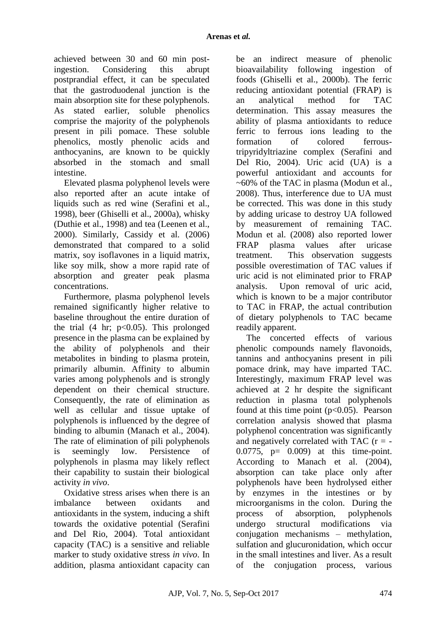achieved between 30 and 60 min postingestion. Considering this abrupt postprandial effect, it can be speculated that the gastroduodenal junction is the main absorption site for these polyphenols. As stated earlier, soluble phenolics comprise the majority of the polyphenols present in pili pomace. These soluble phenolics, mostly phenolic acids and anthocyanins, are known to be quickly absorbed in the stomach and small intestine.

Elevated plasma polyphenol levels were also reported after an acute intake of liquids such as red wine (Serafini et al., 1998), beer (Ghiselli et al., 2000a), whisky (Duthie et al., 1998) and tea (Leenen et al., 2000). Similarly, Cassidy et al. (2006) demonstrated that compared to a solid matrix, soy isoflavones in a liquid matrix, like soy milk, show a more rapid rate of absorption and greater peak plasma concentrations.

Furthermore, plasma polyphenol levels remained significantly higher relative to baseline throughout the entire duration of the trial  $(4 \text{ hr}; \text{ p} < 0.05)$ . This prolonged presence in the plasma can be explained by the ability of polyphenols and their metabolites in binding to plasma protein, primarily albumin. Affinity to albumin varies among polyphenols and is strongly dependent on their chemical structure. Consequently, the rate of elimination as well as cellular and tissue uptake of polyphenols is influenced by the degree of binding to albumin (Manach et al., 2004). The rate of elimination of pili polyphenols is seemingly low. Persistence of polyphenols in plasma may likely reflect their capability to sustain their biological activity *in vivo*.

Oxidative stress arises when there is an imbalance between oxidants and antioxidants in the system, inducing a shift towards the oxidative potential (Serafini and Del Rio, 2004). Total antioxidant capacity (TAC) is a sensitive and reliable marker to study oxidative stress *in vivo*. In addition, plasma antioxidant capacity can be an indirect measure of phenolic bioavailability following ingestion of foods (Ghiselli et al., 2000b). The ferric reducing antioxidant potential (FRAP) is an analytical method for TAC determination. This assay measures the ability of plasma antioxidants to reduce ferric to ferrous ions leading to the formation of colored ferroustripyridyltriazine complex (Serafini and Del Rio, 2004). Uric acid (UA) is a powerful antioxidant and accounts for ~60% of the TAC in plasma (Modun et al., 2008). Thus, interference due to UA must be corrected. This was done in this study by adding uricase to destroy UA followed by measurement of remaining TAC. Modun et al. (2008) also reported lower FRAP plasma values after uricase treatment. This observation suggests possible overestimation of TAC values if uric acid is not eliminated prior to FRAP analysis. Upon removal of uric acid, which is known to be a major contributor to TAC in FRAP, the actual contribution of dietary polyphenols to TAC became readily apparent.

The concerted effects of various phenolic compounds namely flavonoids, tannins and anthocyanins present in pili pomace drink, may have imparted TAC. Interestingly, maximum FRAP level was achieved at 2 hr despite the significant reduction in plasma total polyphenols found at this time point  $(p<0.05)$ . Pearson correlation analysis showed that plasma polyphenol concentration was significantly and negatively correlated with TAC  $(r = 0.0775$ ,  $p = 0.009$  at this time-point. According to Manach et al. (2004), absorption can take place only after polyphenols have been hydrolysed either by enzymes in the intestines or by microorganisms in the colon. During the process of absorption, polyphenols undergo structural modifications via conjugation mechanisms – methylation, sulfation and glucuronidation, which occur in the small intestines and liver. As a result of the conjugation process, various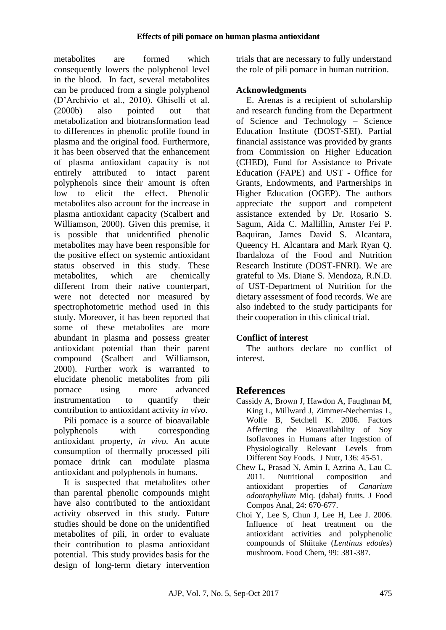metabolites are formed which consequently lowers the polyphenol level in the blood. In fact, several metabolites can be produced from a single polyphenol (D'Archivio et al., 2010). Ghiselli et al. (2000b) also pointed out that metabolization and biotransformation lead to differences in phenolic profile found in plasma and the original food. Furthermore, it has been observed that the enhancement of plasma antioxidant capacity is not entirely attributed to intact parent polyphenols since their amount is often low to elicit the effect. Phenolic metabolites also account for the increase in plasma antioxidant capacity (Scalbert and Williamson, 2000). Given this premise, it is possible that unidentified phenolic metabolites may have been responsible for the positive effect on systemic antioxidant status observed in this study. These metabolites, which are chemically different from their native counterpart, were not detected nor measured by spectrophotometric method used in this study. Moreover, it has been reported that some of these metabolites are more abundant in plasma and possess greater antioxidant potential than their parent compound (Scalbert and Williamson, 2000). Further work is warranted to elucidate phenolic metabolites from pili pomace using more advanced instrumentation to quantify their contribution to antioxidant activity *in vivo*.

Pili pomace is a source of bioavailable polyphenols with corresponding antioxidant property, *in vivo*. An acute consumption of thermally processed pili pomace drink can modulate plasma antioxidant and polyphenols in humans.

It is suspected that metabolites other than parental phenolic compounds might have also contributed to the antioxidant activity observed in this study. Future studies should be done on the unidentified metabolites of pili, in order to evaluate their contribution to plasma antioxidant potential. This study provides basis for the design of long-term dietary intervention trials that are necessary to fully understand the role of pili pomace in human nutrition.

### **Acknowledgments**

E. Arenas is a recipient of scholarship and research funding from the Department of Science and Technology – Science Education Institute (DOST-SEI). Partial financial assistance was provided by grants from Commission on Higher Education (CHED), Fund for Assistance to Private Education (FAPE) and UST - Office for Grants, Endowments, and Partnerships in Higher Education (OGEP). The authors appreciate the support and competent assistance extended by Dr. Rosario S. Sagum, Aida C. Mallillin, Amster Fei P. Baquiran, James David S. Alcantara, Queency H. Alcantara and Mark Ryan Q. Ibardaloza of the Food and Nutrition Research Institute (DOST-FNRI). We are grateful to Ms. Diane S. Mendoza, R.N.D. of UST-Department of Nutrition for the dietary assessment of food records. We are also indebted to the study participants for their cooperation in this clinical trial.

## **Conflict of interest**

The authors declare no conflict of interest.

## **References**

- Cassidy A, Brown J, Hawdon A, Faughnan M, King L, Millward J, Zimmer-Nechemias L, Wolfe B, Setchell K. 2006. Factors Affecting the Bioavailability of Soy Isoflavones in Humans after Ingestion of Physiologically Relevant Levels from Different Soy Foods. J Nutr, 136: 45-51.
- Chew L, Prasad N, Amin I, Azrina A, Lau C. 2011. Nutritional composition and antioxidant properties of *Canarium odontophyllum* Miq. (dabai) fruits. J Food Compos Anal, 24: 670-677.
- Choi Y, Lee S, Chun J, Lee H, Lee J. 2006. Influence of heat treatment on the antioxidant activities and polyphenolic compounds of Shiitake (*Lentinus edodes*) mushroom. Food Chem, 99: 381-387.